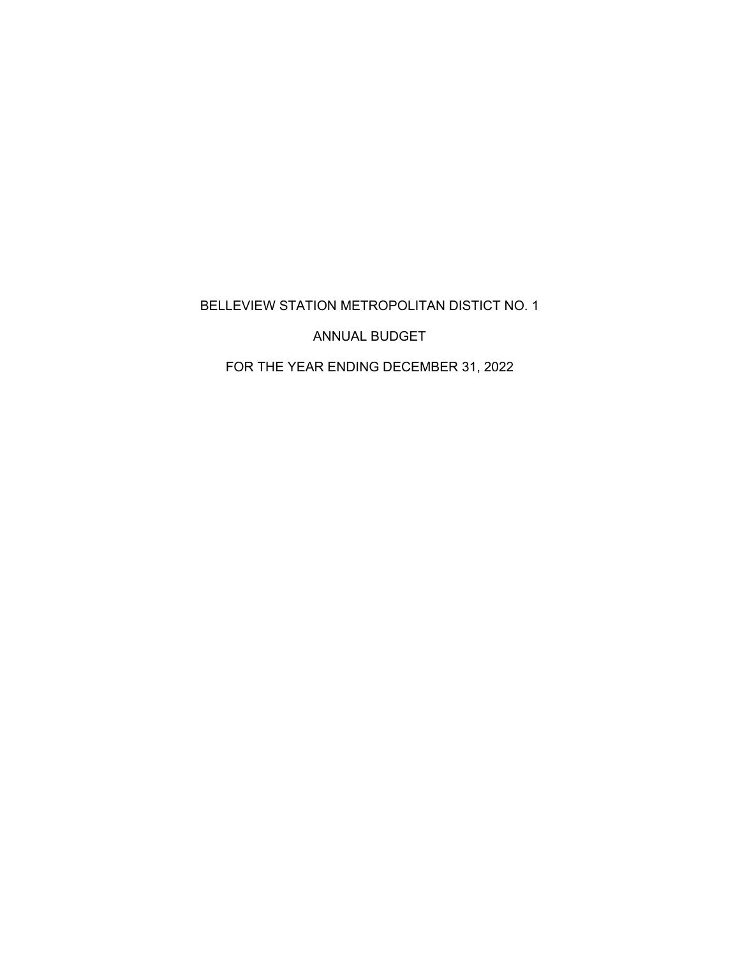# BELLEVIEW STATION METROPOLITAN DISTICT NO. 1

ANNUAL BUDGET

FOR THE YEAR ENDING DECEMBER 31, 2022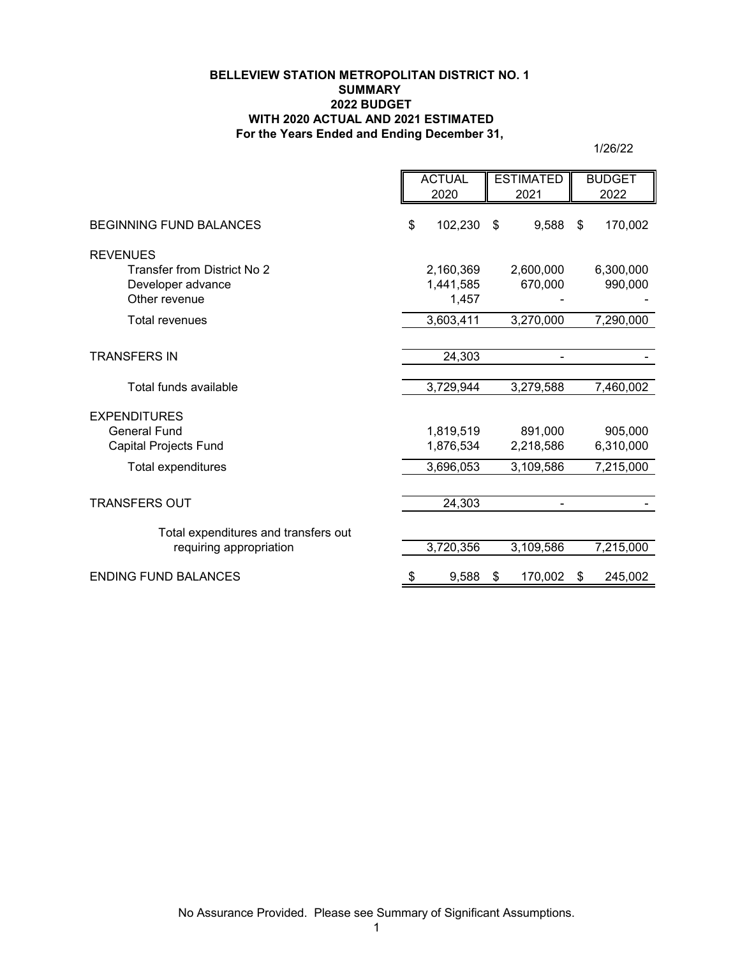## **BELLEVIEW STATION METROPOLITAN DISTRICT NO. 1 SUMMARY 2022 BUDGET WITH 2020 ACTUAL AND 2021 ESTIMATED For the Years Ended and Ending December 31,**

1/26/22

|                                      | <b>ACTUAL</b> |           | <b>ESTIMATED</b> |           | <b>BUDGET</b> |           |
|--------------------------------------|---------------|-----------|------------------|-----------|---------------|-----------|
|                                      | 2020          |           | 2021             |           | 2022          |           |
| <b>BEGINNING FUND BALANCES</b>       | \$            | 102,230   | \$               | 9,588     | \$            | 170,002   |
| <b>REVENUES</b>                      |               |           |                  |           |               |           |
| Transfer from District No 2          |               | 2,160,369 |                  | 2,600,000 |               | 6,300,000 |
| Developer advance                    |               | 1,441,585 |                  | 670,000   |               | 990,000   |
| Other revenue                        |               | 1,457     |                  |           |               |           |
| <b>Total revenues</b>                |               | 3,603,411 |                  | 3,270,000 |               | 7,290,000 |
|                                      |               |           |                  |           |               |           |
| <b>TRANSFERS IN</b>                  |               | 24,303    |                  |           |               |           |
|                                      |               |           |                  |           |               |           |
| Total funds available                |               | 3,729,944 |                  | 3,279,588 |               | 7,460,002 |
| <b>EXPENDITURES</b>                  |               |           |                  |           |               |           |
| <b>General Fund</b>                  |               | 1,819,519 |                  | 891,000   |               | 905,000   |
| Capital Projects Fund                |               | 1,876,534 |                  | 2,218,586 |               | 6,310,000 |
| Total expenditures                   |               | 3,696,053 |                  | 3,109,586 |               | 7,215,000 |
|                                      |               |           |                  |           |               |           |
| <b>TRANSFERS OUT</b>                 |               | 24,303    |                  |           |               |           |
|                                      |               |           |                  |           |               |           |
| Total expenditures and transfers out |               |           |                  |           |               |           |
| requiring appropriation              |               | 3,720,356 |                  | 3,109,586 |               | 7,215,000 |
| <b>ENDING FUND BALANCES</b>          | \$            | 9,588     | \$               | 170,002   | \$            | 245,002   |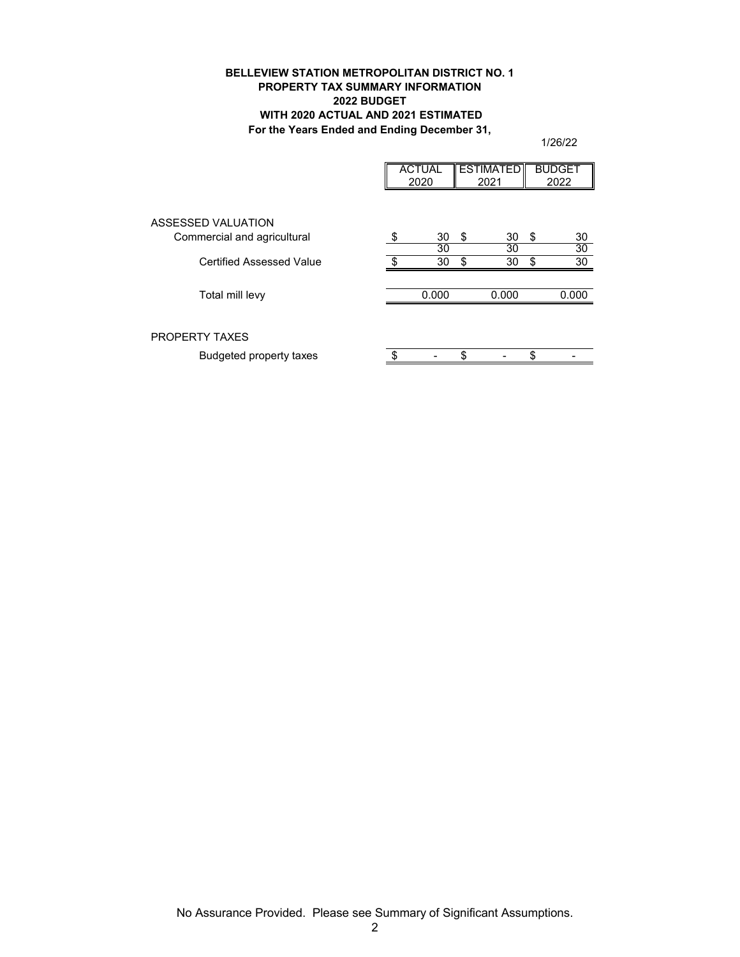#### **BELLEVIEW STATION METROPOLITAN DISTRICT NO. 1 PROPERTY TAX SUMMARY INFORMATION 2022 BUDGET WITH 2020 ACTUAL AND 2021 ESTIMATED For the Years Ended and Ending December 31,**

F

1/26/22

 $\overline{a}$ 

|                             | <b>ACTUAL</b><br>2020 |       | <b>ESTIMATEDII</b><br>2021 |       | <b>BUDGET</b><br>2022 |       |
|-----------------------------|-----------------------|-------|----------------------------|-------|-----------------------|-------|
|                             |                       |       |                            |       |                       |       |
| ASSESSED VALUATION          |                       |       |                            |       |                       |       |
| Commercial and agricultural |                       | 30    | \$                         | 30    | \$                    | 30    |
|                             |                       | 30    |                            | 30    |                       | 30    |
| Certified Assessed Value    | ¢                     | 30    | \$                         | 30    | \$                    | 30    |
|                             |                       |       |                            |       |                       |       |
| Total mill levy             |                       | 0.000 |                            | 0.000 |                       | 0.000 |
|                             |                       |       |                            |       |                       |       |
| <b>PROPERTY TAXES</b>       |                       |       |                            |       |                       |       |
| Budgeted property taxes     |                       |       |                            |       |                       |       |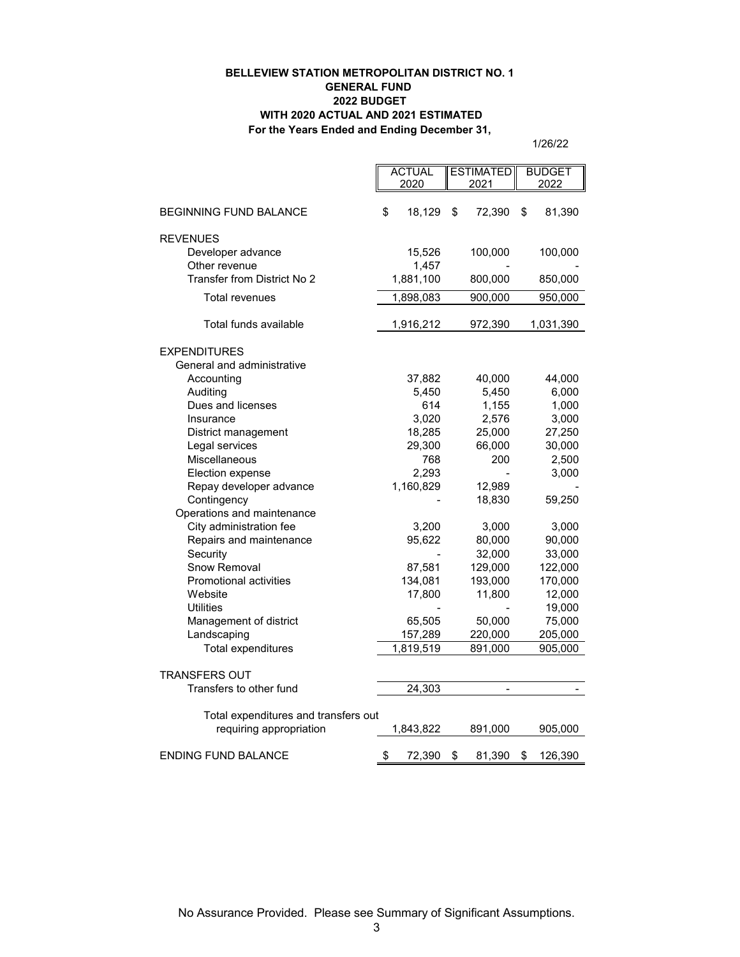#### **For the Years Ended and Ending December 31, BELLEVIEW STATION METROPOLITAN DISTRICT NO. 1 GENERAL FUND 2022 BUDGET WITH 2020 ACTUAL AND 2021 ESTIMATED**

1/26/22

|                                      | <b>ACTUAL</b><br>2020 |           | <b>ESTIMATED</b><br>2021 |                | <b>BUDGET</b><br>2022 |           |
|--------------------------------------|-----------------------|-----------|--------------------------|----------------|-----------------------|-----------|
| <b>BEGINNING FUND BALANCE</b>        | \$                    | 18,129    | \$                       | 72,390         | \$                    | 81,390    |
| <b>REVENUES</b>                      |                       |           |                          |                |                       |           |
| Developer advance                    |                       | 15,526    |                          | 100,000        |                       | 100,000   |
| Other revenue                        |                       | 1,457     |                          |                |                       |           |
| Transfer from District No 2          |                       | 1,881,100 |                          | 800,000        |                       | 850,000   |
| Total revenues                       |                       | 1,898,083 |                          | 900,000        |                       | 950,000   |
| Total funds available                |                       | 1,916,212 |                          | 972,390        |                       | 1,031,390 |
| <b>EXPENDITURES</b>                  |                       |           |                          |                |                       |           |
| General and administrative           |                       |           |                          |                |                       |           |
| Accounting                           |                       | 37,882    |                          | 40,000         |                       | 44,000    |
| Auditing                             |                       | 5,450     |                          | 5,450          |                       | 6,000     |
| Dues and licenses                    |                       | 614       |                          | 1,155          |                       | 1,000     |
| Insurance                            |                       | 3,020     |                          | 2,576          |                       | 3,000     |
| District management                  |                       | 18,285    |                          | 25,000         |                       | 27,250    |
| Legal services                       |                       | 29,300    |                          | 66,000         |                       | 30,000    |
| Miscellaneous                        |                       | 768       |                          | 200            |                       | 2,500     |
| Election expense                     |                       | 2.293     |                          |                |                       | 3,000     |
| Repay developer advance              |                       | 1,160,829 |                          | 12,989         |                       |           |
| Contingency                          |                       |           |                          | 18,830         |                       | 59,250    |
| Operations and maintenance           |                       |           |                          |                |                       |           |
| City administration fee              |                       | 3,200     |                          | 3,000          |                       | 3,000     |
| Repairs and maintenance              |                       | 95,622    |                          | 80,000         |                       | 90,000    |
| Security                             |                       |           |                          | 32,000         |                       | 33,000    |
| <b>Snow Removal</b>                  |                       | 87,581    |                          | 129,000        |                       | 122,000   |
| <b>Promotional activities</b>        |                       | 134,081   |                          | 193,000        |                       | 170,000   |
| Website                              |                       | 17,800    |                          | 11,800         |                       | 12,000    |
| <b>Utilities</b>                     |                       |           |                          |                |                       | 19,000    |
| Management of district               |                       | 65,505    |                          | 50,000         |                       | 75,000    |
| Landscaping                          |                       | 157,289   |                          | 220,000        |                       | 205,000   |
| Total expenditures                   |                       | 1,819,519 |                          | 891,000        |                       | 905,000   |
| <b>TRANSFERS OUT</b>                 |                       |           |                          |                |                       |           |
| Transfers to other fund              |                       | 24,303    |                          | $\overline{a}$ |                       |           |
|                                      |                       |           |                          |                |                       |           |
| Total expenditures and transfers out |                       |           |                          |                |                       |           |
| requiring appropriation              |                       | 1,843,822 |                          | 891,000        |                       | 905,000   |
| <b>ENDING FUND BALANCE</b>           | \$                    | 72,390    | \$                       | 81,390         | \$                    | 126,390   |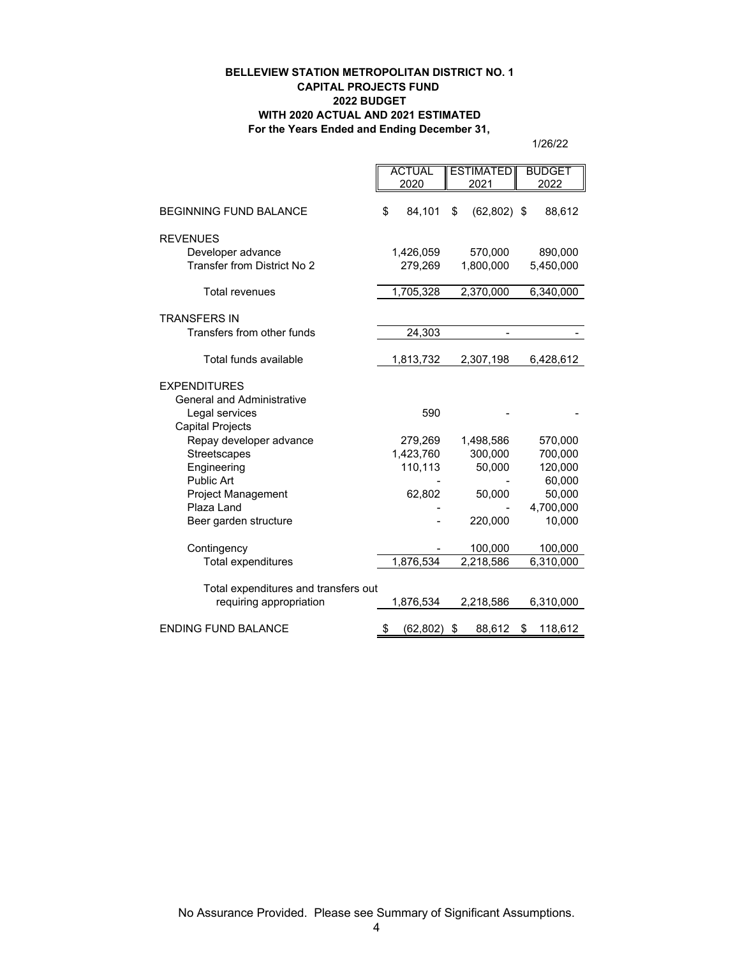#### **BELLEVIEW STATION METROPOLITAN DISTRICT NO. 1 CAPITAL PROJECTS FUND 2022 BUDGET WITH 2020 ACTUAL AND 2021 ESTIMATED For the Years Ended and Ending December 31,**

1/26/22

|                                      | <b>ACTUAL</b>   | <b>ESTIMATED</b>    | <b>BUDGET</b> |  |
|--------------------------------------|-----------------|---------------------|---------------|--|
|                                      | 2020            | 2021                | 2022          |  |
|                                      |                 |                     |               |  |
| <b>BEGINNING FUND BALANCE</b>        | \$<br>84,101    | \$<br>$(62,802)$ \$ | 88,612        |  |
| <b>REVENUES</b>                      |                 |                     |               |  |
| Developer advance                    | 1,426,059       | 570,000             | 890,000       |  |
| Transfer from District No 2          | 279,269         | 1,800,000           | 5,450,000     |  |
|                                      |                 |                     |               |  |
| <b>Total revenues</b>                | 1,705,328       | 2,370,000           | 6,340,000     |  |
| <b>TRANSFERS IN</b>                  |                 |                     |               |  |
| Transfers from other funds           | 24,303          |                     |               |  |
|                                      |                 |                     |               |  |
| Total funds available                | 1,813,732       | 2,307,198           | 6,428,612     |  |
| <b>EXPENDITURES</b>                  |                 |                     |               |  |
| <b>General and Administrative</b>    |                 |                     |               |  |
| Legal services                       | 590             |                     |               |  |
| <b>Capital Projects</b>              |                 |                     |               |  |
| Repay developer advance              | 279,269         | 1,498,586           | 570,000       |  |
| Streetscapes                         | 1,423,760       | 300,000             | 700,000       |  |
| Engineering                          | 110,113         | 50,000              | 120,000       |  |
| <b>Public Art</b>                    |                 |                     | 60,000        |  |
| Project Management                   | 62,802          | 50,000              | 50,000        |  |
| Plaza Land                           |                 |                     | 4,700,000     |  |
| Beer garden structure                |                 | 220,000             | 10,000        |  |
|                                      |                 |                     |               |  |
| Contingency                          |                 | 100,000             | 100,000       |  |
| Total expenditures                   | 1,876,534       | 2,218,586           | 6,310,000     |  |
|                                      |                 |                     |               |  |
| Total expenditures and transfers out |                 |                     |               |  |
| requiring appropriation              | 1,876,534       | 2,218,586           | 6,310,000     |  |
|                                      |                 |                     |               |  |
| <b>ENDING FUND BALANCE</b>           | \$<br>(62, 802) | \$<br>88,612        | \$<br>118,612 |  |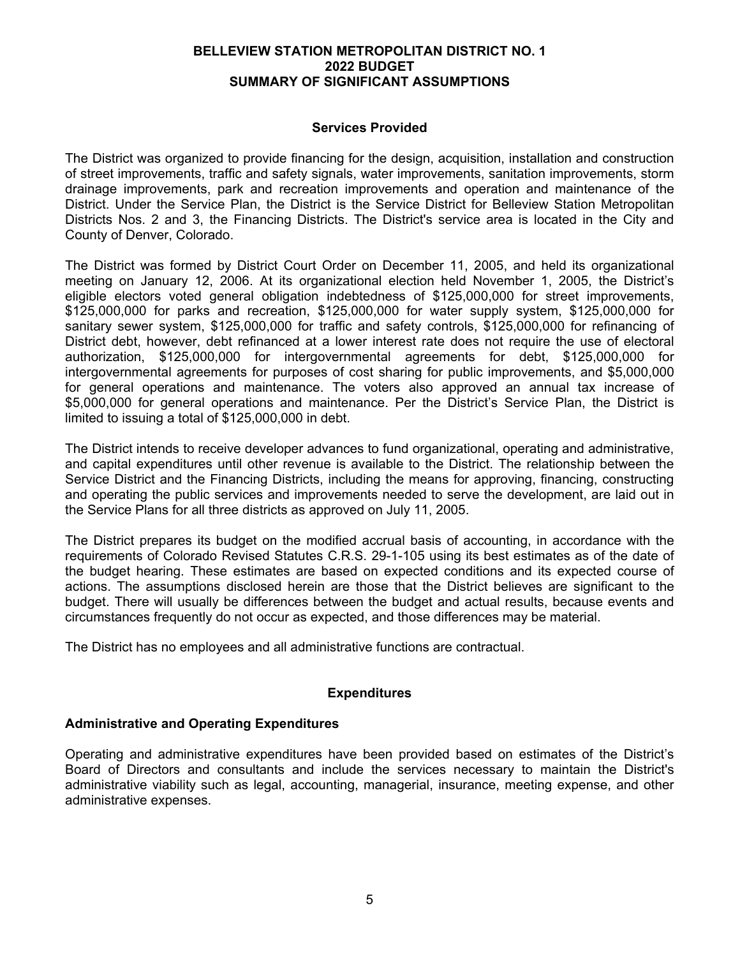#### **BELLEVIEW STATION METROPOLITAN DISTRICT NO. 1 2022 BUDGET SUMMARY OF SIGNIFICANT ASSUMPTIONS**

### **Services Provided**

The District was organized to provide financing for the design, acquisition, installation and construction of street improvements, traffic and safety signals, water improvements, sanitation improvements, storm drainage improvements, park and recreation improvements and operation and maintenance of the District. Under the Service Plan, the District is the Service District for Belleview Station Metropolitan Districts Nos. 2 and 3, the Financing Districts. The District's service area is located in the City and County of Denver, Colorado.

The District was formed by District Court Order on December 11, 2005, and held its organizational meeting on January 12, 2006. At its organizational election held November 1, 2005, the District's eligible electors voted general obligation indebtedness of \$125,000,000 for street improvements, \$125,000,000 for parks and recreation, \$125,000,000 for water supply system, \$125,000,000 for sanitary sewer system, \$125,000,000 for traffic and safety controls, \$125,000,000 for refinancing of District debt, however, debt refinanced at a lower interest rate does not require the use of electoral authorization, \$125,000,000 for intergovernmental agreements for debt, \$125,000,000 for intergovernmental agreements for purposes of cost sharing for public improvements, and \$5,000,000 for general operations and maintenance. The voters also approved an annual tax increase of \$5,000,000 for general operations and maintenance. Per the District's Service Plan, the District is limited to issuing a total of \$125,000,000 in debt.

The District intends to receive developer advances to fund organizational, operating and administrative, and capital expenditures until other revenue is available to the District. The relationship between the Service District and the Financing Districts, including the means for approving, financing, constructing and operating the public services and improvements needed to serve the development, are laid out in the Service Plans for all three districts as approved on July 11, 2005.

The District prepares its budget on the modified accrual basis of accounting, in accordance with the requirements of Colorado Revised Statutes C.R.S. 29-1-105 using its best estimates as of the date of the budget hearing. These estimates are based on expected conditions and its expected course of actions. The assumptions disclosed herein are those that the District believes are significant to the budget. There will usually be differences between the budget and actual results, because events and circumstances frequently do not occur as expected, and those differences may be material.

The District has no employees and all administrative functions are contractual.

### **Expenditures**

### **Administrative and Operating Expenditures**

Operating and administrative expenditures have been provided based on estimates of the District's Board of Directors and consultants and include the services necessary to maintain the District's administrative viability such as legal, accounting, managerial, insurance, meeting expense, and other administrative expenses.